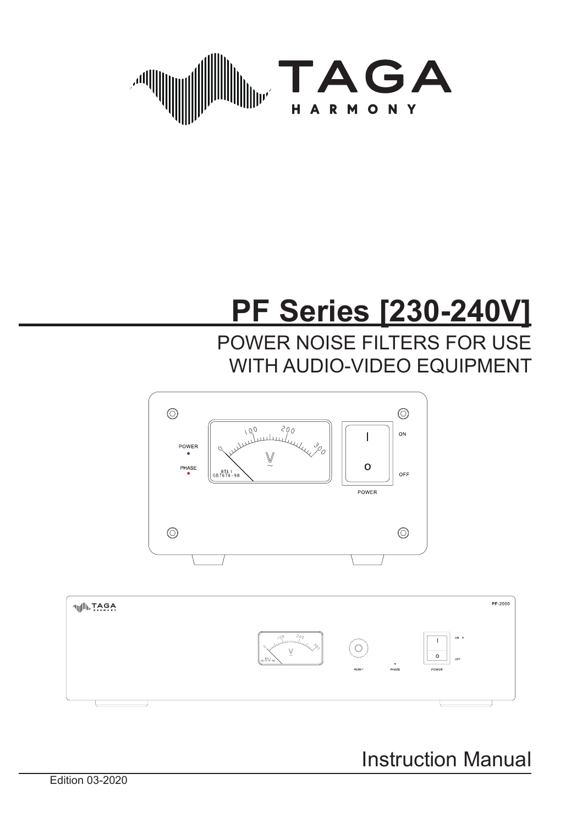

# **PF Series [230-240V]**

POWER NOISE FILTERS FOR USE WITH AUDIO-VIDEO EQUIPMENT





Instruction Manual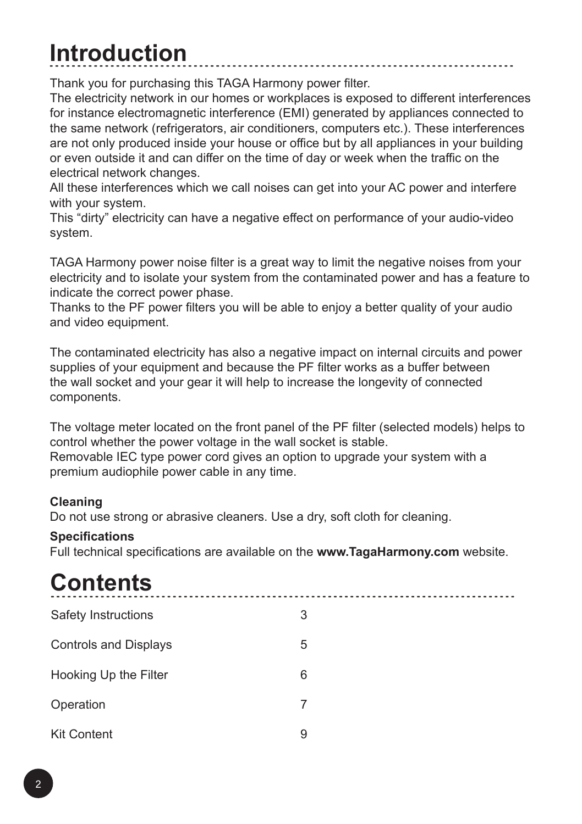### **Introduction**

Thank you for purchasing this TAGA Harmony power filter.

The electricity network in our homes or workplaces is exposed to different interferences for instance electromagnetic interference (EMI) generated by appliances connected to the same network (refrigerators, air conditioners, computers etc.). These interferences are not only produced inside your house or office but by all appliances in your building or even outside it and can differ on the time of day or week when the traffic on the electrical network changes.

All these interferences which we call noises can get into your AC power and interfere with your system.

This "dirty" electricity can have a negative effect on performance of your audio-video system.

TAGA Harmony power noise filter is a great way to limit the negative noises from your electricity and to isolate your system from the contaminated power and has a feature to indicate the correct power phase.

Thanks to the PF power filters you will be able to enjoy a better quality of your audio and video equipment.

The contaminated electricity has also a negative impact on internal circuits and power supplies of your equipment and because the PF filter works as a buffer between the wall socket and your gear it will help to increase the longevity of connected components.

The voltage meter located on the front panel of the PF filter (selected models) helps to control whether the power voltage in the wall socket is stable.

Removable IEC type power cord gives an option to upgrade your system with a premium audiophile power cable in any time.

#### **Cleaning**

Do not use strong or abrasive cleaners. Use a dry, soft cloth for cleaning.

#### **Specifications**

Full technical specifications are available on the **www.TagaHarmony.com** website.

### **Contents**

| Safety Instructions          | 3 |
|------------------------------|---|
| <b>Controls and Displays</b> | 5 |
| Hooking Up the Filter        | 6 |
| Operation                    | 7 |
| <b>Kit Content</b>           | 9 |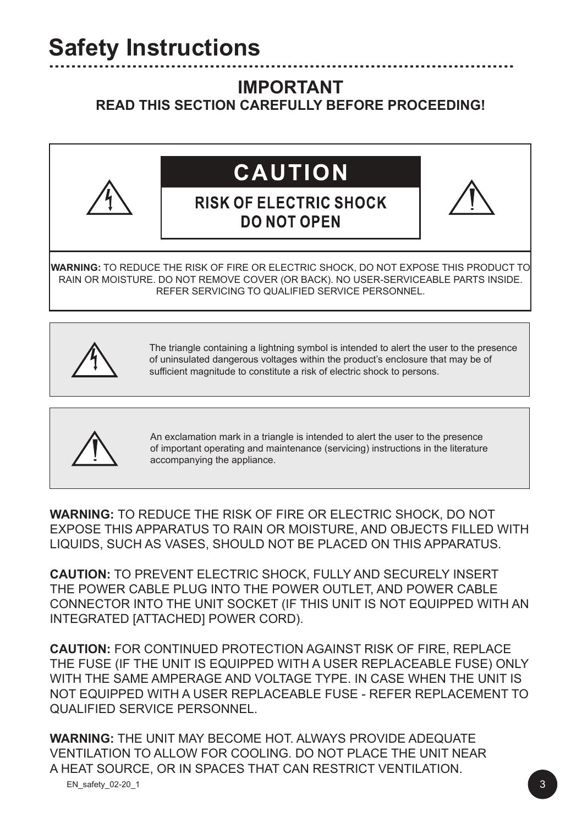### **IMPORTANT**

#### **READ THIS SECTION CAREFULLY BEFORE PROCEEDING!**



# **CAUTION**

### **RISK OF ELECTRIC SHOCK DO NOT OPEN**

**WARNING:** TO REDUCE THE RISK OF FIRE OR ELECTRIC SHOCK, DO NOT EXPOSE THIS PRODUCT TO RAIN OR MOISTURE. DO NOT REMOVE COVER (OR BACK). NO USER-SERVICEABLE PARTS INSIDE. REFER SERVICING TO QUALIFIED SERVICE PERSONNEL.



I

The triangle containing a lightning symbol is intended to alert the user to the presence of uninsulated dangerous voltages within the product's enclosure that may be of sufficient magnitude to constitute a risk of electric shock to persons.



An exclamation mark in a triangle is intended to alert the user to the presence of important operating and maintenance (servicing) instructions in the literature accompanying the appliance.

**WARNING:** TO REDUCE THE RISK OF FIRE OR ELECTRIC SHOCK, DO NOT EXPOSE THIS APPARATUS TO RAIN OR MOISTURE, AND OBJECTS FILLED WITH LIQUIDS, SUCH AS VASES, SHOULD NOT BE PLACED ON THIS APPARATUS.

**CAUTION:** TO PREVENT ELECTRIC SHOCK, FULLY AND SECURELY INSERT THE POWER CABLE PLUG INTO THE POWER OUTLET, AND POWER CABLE CONNECTOR INTO THE UNIT SOCKET (IF THIS UNIT IS NOT EQUIPPED WITH AN INTEGRATED [ATTACHED] POWER CORD).

**CAUTION:** FOR CONTINUED PROTECTION AGAINST RISK OF FIRE, REPLACE THE FUSE (IF THE UNIT IS EQUIPPED WITH A USER REPLACEABLE FUSE) ONLY WITH THE SAME AMPERAGE AND VOLTAGE TYPE. IN CASE WHEN THE LINIT IS NOT EQUIPPED WITH A USER REPLACEABLE FUSE - REFER REPLACEMENT TO QUALIFIED SERVICE PERSONNEL.

**WARNING:** THE UNIT MAY BECOME HOT. ALWAYS PROVIDE ADEQUATE VENTILATION TO ALLOW FOR COOLING. DO NOT PLACE THE UNIT NEAR A HEAT SOURCE, OR IN SPACES THAT CAN RESTRICT VENTILATION.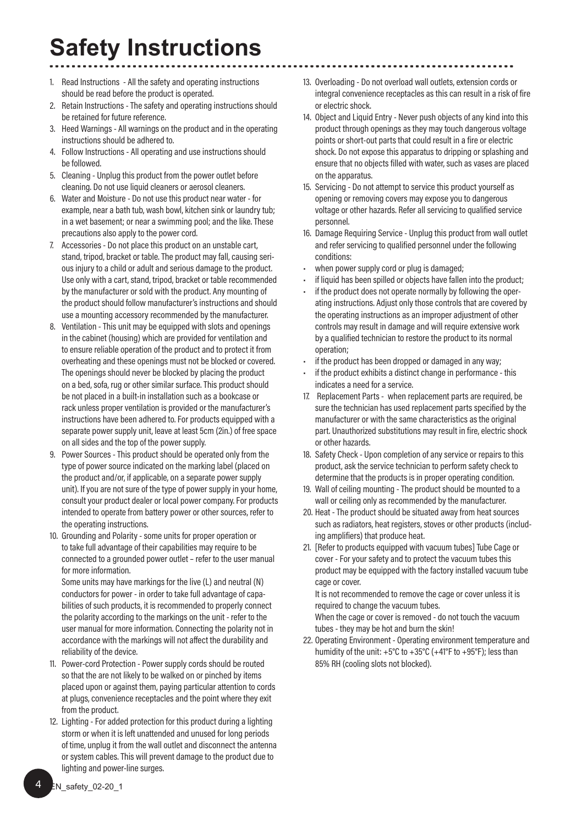### **Safety Instructions**

- 1. Read Instructions All the safety and operating instructions should be read before the product is operated.
- 2. Retain Instructions The safety and operating instructions should be retained for future reference.
- 3. Heed Warnings All warnings on the product and in the operating instructions should be adhered to.
- 4. Follow Instructions All operating and use instructions should be followed.
- 5. Cleaning Unplug this product from the power outlet before cleaning. Do not use liquid cleaners or aerosol cleaners.
- 6. Water and Moisture Do not use this product near water for example, near a bath tub, wash bowl, kitchen sink or laundry tub; in a wet basement; or near a swimming pool; and the like. These precautions also apply to the power cord.
- 7. Accessories Do not place this product on an unstable cart, stand, tripod, bracket or table. The product may fall, causing serious injury to a child or adult and serious damage to the product. Use only with a cart, stand, tripod, bracket or table recommended by the manufacturer or sold with the product. Any mounting of the product should follow manufacturer's instructions and should use a mounting accessory recommended by the manufacturer.
- 8. Ventilation This unit may be equipped with slots and openings in the cabinet (housing) which are provided for ventilation and to ensure reliable operation of the product and to protect it from overheating and these openings must not be blocked or covered. The openings should never be blocked by placing the product on a bed, sofa, rug or other similar surface. This product should be not placed in a built-in installation such as a bookcase or rack unless proper ventilation is provided or the manufacturer's instructions have been adhered to. For products equipped with a separate power supply unit, leave at least 5cm (2in.) of free space on all sides and the top of the power supply.
- 9. Power Sources This product should be operated only from the type of power source indicated on the marking label (placed on the product and/or, if applicable, on a separate power supply unit). If you are not sure of the type of power supply in your home, consult your product dealer or local power company. For products intended to operate from battery power or other sources, refer to the operating instructions.
- 10. Grounding and Polarity some units for proper operation or to take full advantage of their capabilities may require to be connected to a grounded power outlet – refer to the user manual for more information.

Some units may have markings for the live (L) and neutral (N) conductors for power - in order to take full advantage of capabilities of such products, it is recommended to properly connect the polarity according to the markings on the unit - refer to the user manual for more information. Connecting the polarity not in accordance with the markings will not affect the durability and reliability of the device.

- 11. Power-cord Protection Power supply cords should be routed so that the are not likely to be walked on or pinched by items placed upon or against them, paying particular attention to cords at plugs, convenience receptacles and the point where they exit from the product.
- 12. Lighting For added protection for this product during a lighting storm or when it is left unattended and unused for long periods of time, unplug it from the wall outlet and disconnect the antenna or system cables. This will prevent damage to the product due to lighting and power-line surges.
- 13. Overloading Do not overload wall outlets, extension cords or integral convenience receptacles as this can result in a risk of fire or electric shock.
- 14. Object and Liquid Entry Never push objects of any kind into this product through openings as they may touch dangerous voltage points or short-out parts that could result in a fire or electric shock. Do not expose this apparatus to dripping or splashing and ensure that no objects filled with water, such as vases are placed on the apparatus.
- 15. Servicing Do not attempt to service this product yourself as opening or removing covers may expose you to dangerous voltage or other hazards. Refer all servicing to qualified service personnel.
- 16. Damage Requiring Service Unplug this product from wall outlet and refer servicing to qualified personnel under the following conditions:
- when power supply cord or plug is damaged;
- if liquid has been spilled or objects have fallen into the product:
- if the product does not operate normally by following the operating instructions. Adjust only those controls that are covered by the operating instructions as an improper adjustment of other controls may result in damage and will require extensive work by a qualified technician to restore the product to its normal operation;
- if the product has been dropped or damaged in any way:
- if the product exhibits a distinct change in performance this indicates a need for a service.
- 17. Replacement Parts when replacement parts are required, be sure the technician has used replacement parts specified by the manufacturer or with the same characteristics as the original part. Unauthorized substitutions may result in fire, electric shock or other hazards.
- 18. Safety Check Upon completion of any service or repairs to this product, ask the service technician to perform safety check to determine that the products is in proper operating condition.
- 19. Wall of ceiling mounting The product should be mounted to a wall or ceiling only as recommended by the manufacturer.
- 20. Heat The product should be situated away from heat sources such as radiators, heat registers, stoves or other products (including amplifiers) that produce heat.
- 21. [Refer to products equipped with vacuum tubes] Tube Cage or cover - For your safety and to protect the vacuum tubes this product may be equipped with the factory installed vacuum tube cage or cover.

It is not recommended to remove the cage or cover unless it is required to change the vacuum tubes.

When the cage or cover is removed - do not touch the vacuum tubes - they may be hot and burn the skin!

22. Operating Environment - Operating environment temperature and humidity of the unit: +5°C to +35°C (+41°F to +95°F); less than 85% RH (cooling slots not blocked).

4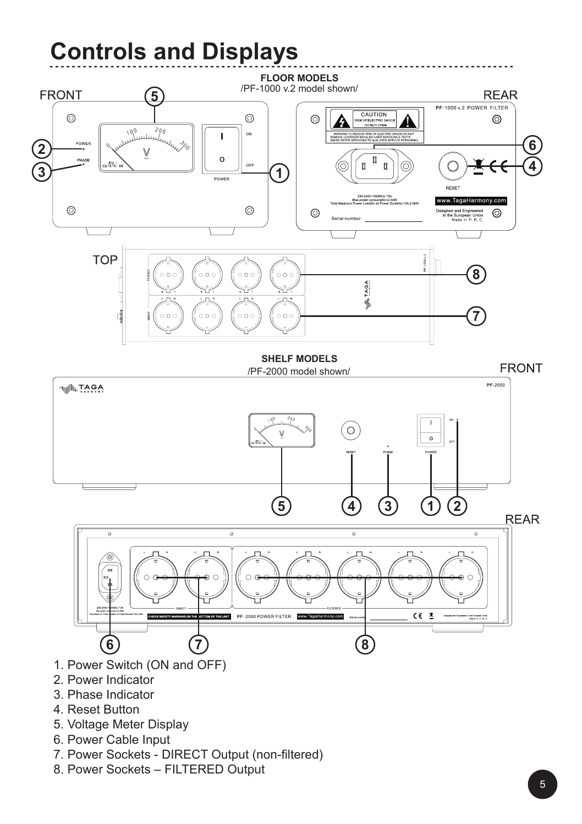## **Controls and Displays**



- 4. Reset Button
- 5. Voltage Meter Display
- 6. Power Cable Input
- 7. Power Sockets DIRECT Output (non-filtered)
- 8. Power Sockets FILTERED Output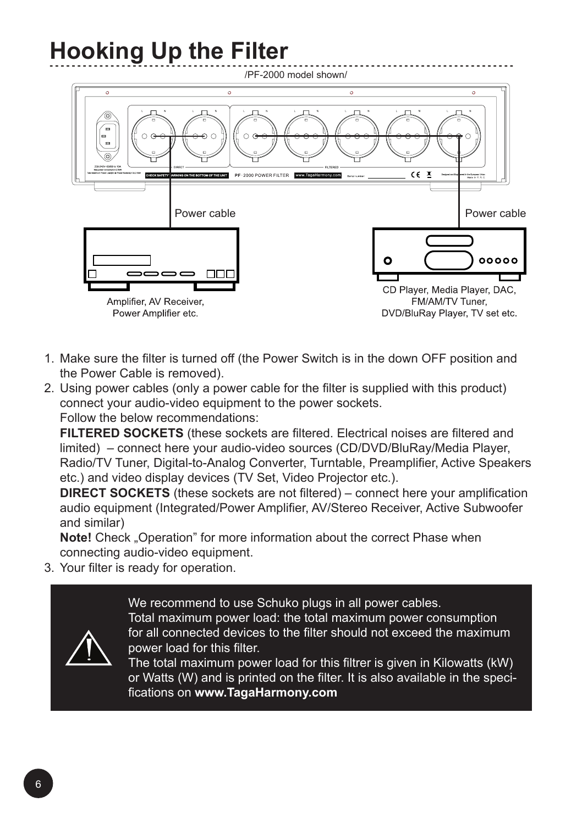# **Hooking Up the Filter**



- 1. Make sure the filter is turned off (the Power Switch is in the down OFF position and the Power Cable is removed).
- 2. Using power cables (only a power cable for the filter is supplied with this product) connect your audio-video equipment to the power sockets. Follow the below recommendations:

**FILTERED SOCKETS** (these sockets are filtered. Electrical noises are filtered and limited) – connect here your audio-video sources (CD/DVD/BluRay/Media Player, Radio/TV Tuner, Digital-to-Analog Converter, Turntable, Preamplifier, Active Speakers etc.) and video display devices (TV Set, Video Projector etc.).

**DIRECT SOCKETS** (these sockets are not filtered) – connect here your amplification audio equipment (Integrated/Power Amplifier, AV/Stereo Receiver, Active Subwoofer and similar)

**Note!** Check "Operation" for more information about the correct Phase when connecting audio-video equipment.

3. Your filter is ready for operation.



We recommend to use Schuko plugs in all power cables. Total maximum power load: the total maximum power consumption for all connected devices to the filter should not exceed the maximum power load for this filter.

The total maximum power load for this filtrer is given in Kilowatts (kW) or Watts (W) and is printed on the filter. It is also available in the specifications on **www.TagaHarmony.com**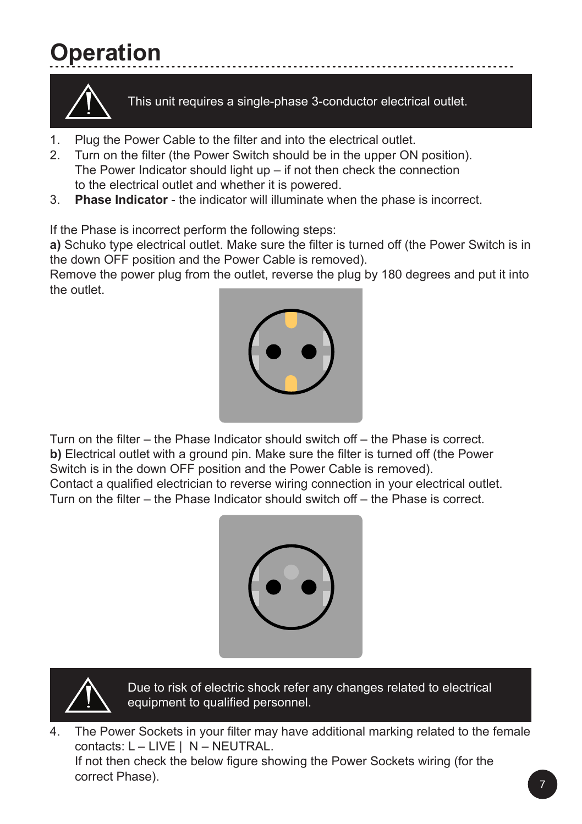# **Operation**



This unit requires a single-phase 3-conductor electrical outlet.

- 1. Plug the Power Cable to the filter and into the electrical outlet.
- 2. Turn on the filter (the Power Switch should be in the upper ON position). The Power Indicator should light up – if not then check the connection to the electrical outlet and whether it is powered.
- 3. **Phase Indicator** the indicator will illuminate when the phase is incorrect.

If the Phase is incorrect perform the following steps:

**a)** Schuko type electrical outlet. Make sure the filter is turned off (the Power Switch is in the down OFF position and the Power Cable is removed).

Remove the power plug from the outlet, reverse the plug by 180 degrees and put it into the outlet.



Turn on the filter – the Phase Indicator should switch off – the Phase is correct. **b)** Electrical outlet with a ground pin. Make sure the filter is turned off (the Power Switch is in the down OFF position and the Power Cable is removed).

Contact a qualified electrician to reverse wiring connection in your electrical outlet. Turn on the filter – the Phase Indicator should switch off – the Phase is correct.





Due to risk of electric shock refer any changes related to electrical equipment to qualified personnel.

4. The Power Sockets in your filter may have additional marking related to the female contacts: L – LIVE | N – NEUTRAL.

If not then check the below figure showing the Power Sockets wiring (for the correct Phase).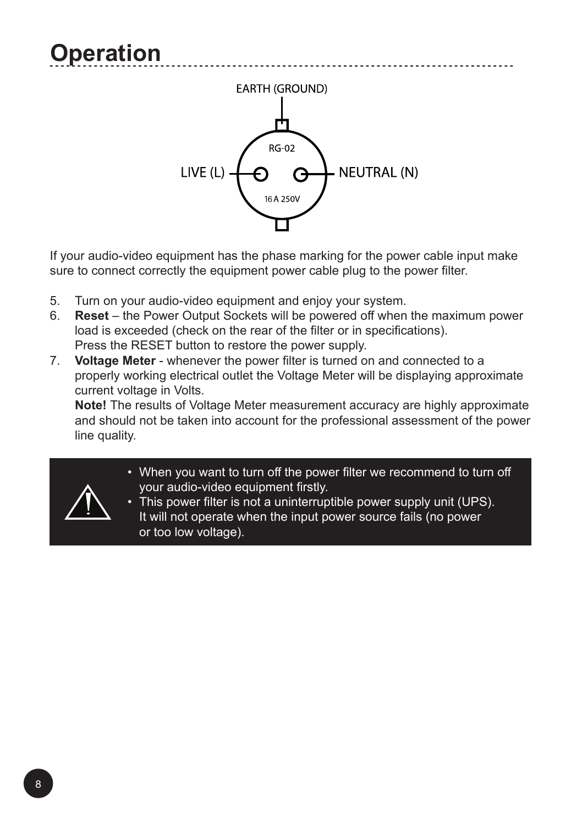

If your audio-video equipment has the phase marking for the power cable input make sure to connect correctly the equipment power cable plug to the power filter.

- 5. Turn on your audio-video equipment and enjoy your system.<br>6. Reset the Power Output Sockets will be powered off when
- 6. **Reset** the Power Output Sockets will be powered off when the maximum power load is exceeded (check on the rear of the filter or in specifications). Press the RESET button to restore the power supply.
- 7. **Voltage Meter** whenever the power filter is turned on and connected to a properly working electrical outlet the Voltage Meter will be displaying approximate current voltage in Volts.

**Note!** The results of Voltage Meter measurement accuracy are highly approximate and should not be taken into account for the professional assessment of the power line quality.

- When you want to turn off the power filter we recommend to turn off your audio-video equipment firstly.
- This power filter is not a uninterruptible power supply unit (UPS). It will not operate when the input power source fails (no power or too low voltage).